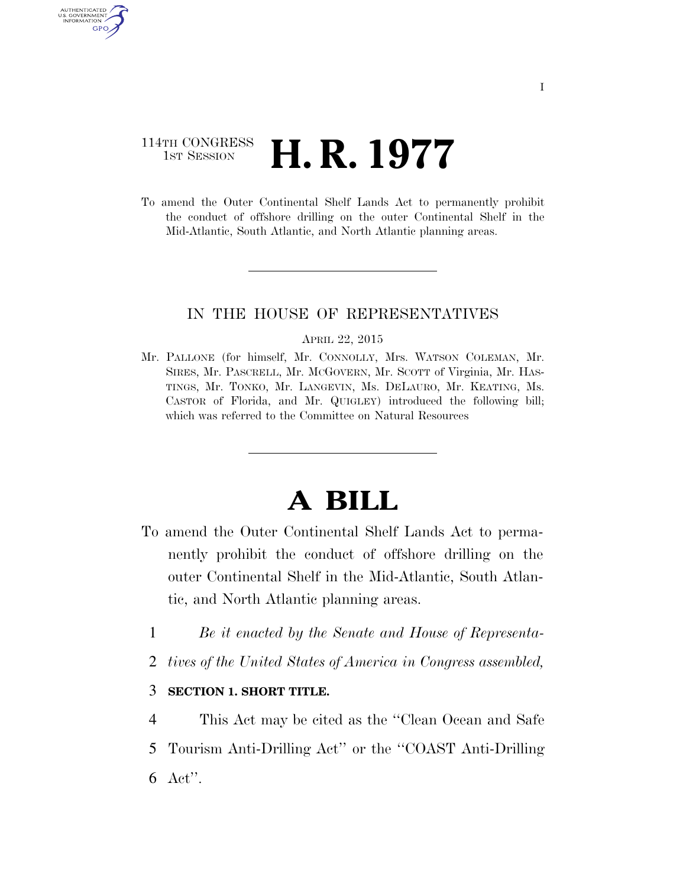## 114TH CONGRESS **1st Session H. R. 1977**

AUTHENTICATED U.S. GOVERNMENT GPO

> To amend the Outer Continental Shelf Lands Act to permanently prohibit the conduct of offshore drilling on the outer Continental Shelf in the Mid-Atlantic, South Atlantic, and North Atlantic planning areas.

## IN THE HOUSE OF REPRESENTATIVES

#### APRIL 22, 2015

Mr. PALLONE (for himself, Mr. CONNOLLY, Mrs. WATSON COLEMAN, Mr. SIRES, Mr. PASCRELL, Mr. MCGOVERN, Mr. SCOTT of Virginia, Mr. HAS-TINGS, Mr. TONKO, Mr. LANGEVIN, Ms. DELAURO, Mr. KEATING, Ms. CASTOR of Florida, and Mr. QUIGLEY) introduced the following bill; which was referred to the Committee on Natural Resources

# **A BILL**

- To amend the Outer Continental Shelf Lands Act to permanently prohibit the conduct of offshore drilling on the outer Continental Shelf in the Mid-Atlantic, South Atlantic, and North Atlantic planning areas.
	- 1 *Be it enacted by the Senate and House of Representa-*
	- 2 *tives of the United States of America in Congress assembled,*

## 3 **SECTION 1. SHORT TITLE.**

4 This Act may be cited as the ''Clean Ocean and Safe 5 Tourism Anti-Drilling Act'' or the ''COAST Anti-Drilling 6 Act''.